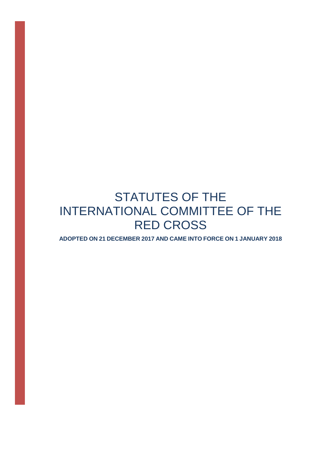# STATUTES OF THE INTERNATIONAL COMMITTEE OF THE RED CROSS

**ADOPTED ON 21 DECEMBER 2017 AND CAME INTO FORCE ON 1 JANUARY 2018**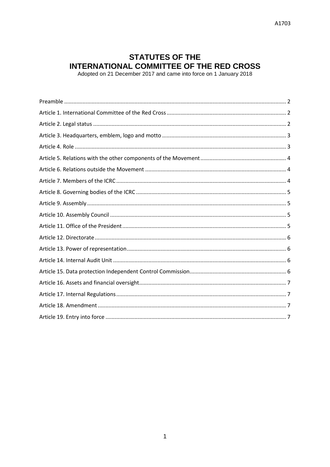# **STATUTES OF THE INTERNATIONAL COMMITTEE OF THE RED CROSS**<br>Adopted on 21 December 2017 and came into force on 1 January 2018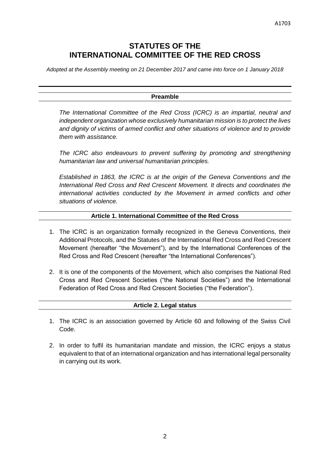# **STATUTES OF THE INTERNATIONAL COMMITTEE OF THE RED CROSS**

<span id="page-2-0"></span>*Adopted at the Assembly meeting on 21 December 2017 and came into force on 1 January 2018*

#### **Preamble**

*The International Committee of the Red Cross (ICRC) is an impartial, neutral and independent organization whose exclusively humanitarian mission is to protect the lives and dignity of victims of armed conflict and other situations of violence and to provide them with assistance.*

The ICRC also endeavours to prevent suffering by promoting and strengthening *humanitarian law and universal humanitarian principles.*

*Established in 1863, the ICRC is at the origin of the Geneva Conventions and the International Red Cross and Red Crescent Movement. It directs and coordinates the international activities conducted by the Movement in armed conflicts and other situations of violence.*

#### **Article 1. International Committee of the Red Cross**

- <span id="page-2-1"></span>1. The ICRC is an organization formally recognized in the Geneva Conventions, their Additional Protocols, and the Statutes of the International Red Cross and Red Crescent Movement (hereafter "the Movement"), and by the International Conferences of the Red Cross and Red Crescent (hereafter "the International Conferences").
- 2. It is one of the components of the Movement, which also comprises the National Red Cross and Red Crescent Societies ("the National Societies") and the International Federation of Red Cross and Red Crescent Societies ("the Federation").

#### **Article 2. Legal status**

- <span id="page-2-2"></span>1. The ICRC is an association governed by Article 60 and following of the Swiss Civil Code.
- 2. In order to fulfil its humanitarian mandate and mission, the ICRC enjoys a status equivalent to that of an international organization and has international legal personality in carrying out its work.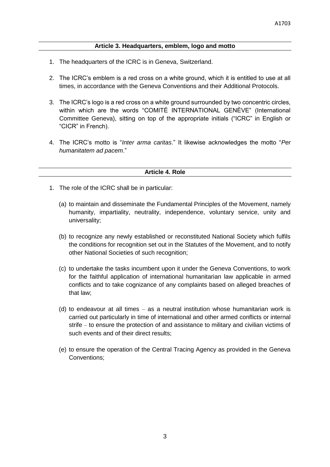# **Article 3. Headquarters, emblem, logo and motto**

- <span id="page-3-0"></span>1. The headquarters of the ICRC is in Geneva, Switzerland.
- 2. The ICRC's emblem is a red cross on a white ground, which it is entitled to use at all times, in accordance with the Geneva Conventions and their Additional Protocols.
- 3. The ICRC's logo is a red cross on a white ground surrounded by two concentric circles, within which are the words "COMITÉ INTERNATIONAL GENÈVE" (International Committee Geneva), sitting on top of the appropriate initials ("ICRC" in English or "CICR" in French).
- 4. The ICRC's motto is "*Inter arma caritas*." It likewise acknowledges the motto "*Per humanitatem ad pacem*."

#### **Article 4. Role**

- <span id="page-3-1"></span>1. The role of the ICRC shall be in particular:
	- (a) to maintain and disseminate the Fundamental Principles of the Movement, namely humanity, impartiality, neutrality, independence, voluntary service, unity and universality;
	- (b) to recognize any newly established or reconstituted National Society which fulfils the conditions for recognition set out in the Statutes of the Movement, and to notify other National Societies of such recognition;
	- (c) to undertake the tasks incumbent upon it under the Geneva Conventions, to work for the faithful application of international humanitarian law applicable in armed conflicts and to take cognizance of any complaints based on alleged breaches of that law;
	- (d) to endeavour at all times as a neutral institution whose humanitarian work is carried out particularly in time of international and other armed conflicts or internal strife – to ensure the protection of and assistance to military and civilian victims of such events and of their direct results;
	- (e) to ensure the operation of the Central Tracing Agency as provided in the Geneva Conventions;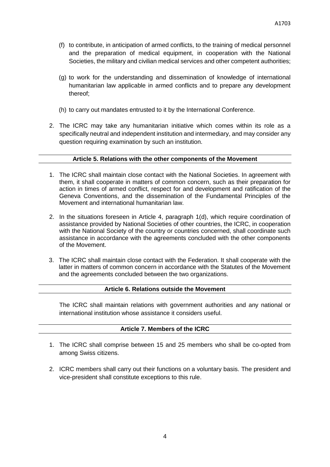- (f) to contribute, in anticipation of armed conflicts, to the training of medical personnel and the preparation of medical equipment, in cooperation with the National Societies, the military and civilian medical services and other competent authorities;
- (g) to work for the understanding and dissemination of knowledge of international humanitarian law applicable in armed conflicts and to prepare any development thereof;
- (h) to carry out mandates entrusted to it by the International Conference.
- 2. The ICRC may take any humanitarian initiative which comes within its role as a specifically neutral and independent institution and intermediary, and may consider any question requiring examination by such an institution.

# **Article 5. Relations with the other components of the Movement**

- <span id="page-4-0"></span>1. The ICRC shall maintain close contact with the National Societies. In agreement with them, it shall cooperate in matters of common concern, such as their preparation for action in times of armed conflict, respect for and development and ratification of the Geneva Conventions, and the dissemination of the Fundamental Principles of the Movement and international humanitarian law.
- 2. In the situations foreseen in Article 4, paragraph 1(d), which require coordination of assistance provided by National Societies of other countries, the ICRC, in cooperation with the National Society of the country or countries concerned, shall coordinate such assistance in accordance with the agreements concluded with the other components of the Movement.
- 3. The ICRC shall maintain close contact with the Federation. It shall cooperate with the latter in matters of common concern in accordance with the Statutes of the Movement and the agreements concluded between the two organizations.

# **Article 6. Relations outside the Movement**

<span id="page-4-1"></span>The ICRC shall maintain relations with government authorities and any national or international institution whose assistance it considers useful.

#### **Article 7. Members of the ICRC**

- <span id="page-4-2"></span>1. The ICRC shall comprise between 15 and 25 members who shall be co-opted from among Swiss citizens.
- 2. ICRC members shall carry out their functions on a voluntary basis. The president and vice-president shall constitute exceptions to this rule.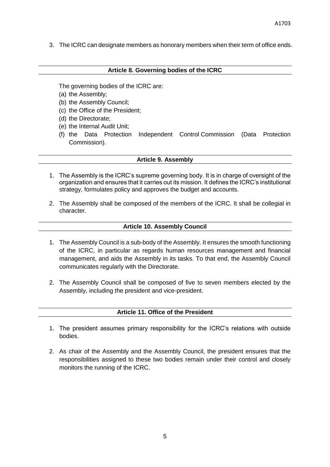<span id="page-5-0"></span>3. The ICRC can designate members as honorary members when their term of office ends.

#### **Article 8. Governing bodies of the ICRC**

The governing bodies of the ICRC are:

- (a) the Assembly;
- (b) the Assembly Council;
- (c) the Office of the President;
- (d) the Directorate;
- (e) the Internal Audit Unit;
- (f) the Data Protection Independent Control Commission (Data Protection Commission).

#### **Article 9. Assembly**

- <span id="page-5-1"></span>1. The Assembly is the ICRC's supreme governing body. It is in charge of oversight of the organization and ensures that it carries out its mission. It defines the ICRC's institutional strategy, formulates policy and approves the budget and accounts.
- 2. The Assembly shall be composed of the members of the ICRC. It shall be collegial in character.

#### **Article 10. Assembly Council**

- <span id="page-5-2"></span>1. The Assembly Council is a sub-body of the Assembly. It ensures the smooth functioning of the ICRC, in particular as regards human resources management and financial management, and aids the Assembly in its tasks. To that end, the Assembly Council communicates regularly with the Directorate.
- 2. The Assembly Council shall be composed of five to seven members elected by the Assembly, including the president and vice-president.

#### **Article 11. Office of the President**

- <span id="page-5-3"></span>1. The president assumes primary responsibility for the ICRC's relations with outside bodies.
- 2. As chair of the Assembly and the Assembly Council, the president ensures that the responsibilities assigned to these two bodies remain under their control and closely monitors the running of the ICRC.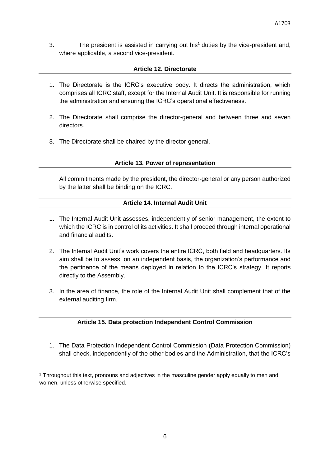3. The president is assisted in carrying out his<sup>1</sup> duties by the vice-president and, where applicable, a second vice-president.

# **Article 12. Directorate**

- <span id="page-6-0"></span>1. The Directorate is the ICRC's executive body. It directs the administration, which comprises all ICRC staff, except for the Internal Audit Unit. It is responsible for running the administration and ensuring the ICRC's operational effectiveness.
- 2. The Directorate shall comprise the director-general and between three and seven directors.
- <span id="page-6-1"></span>3. The Directorate shall be chaired by the director-general.

# **Article 13. Power of representation**

All commitments made by the president, the director-general or any person authorized by the latter shall be binding on the ICRC.

# **Article 14. Internal Audit Unit**

- <span id="page-6-2"></span>1. The Internal Audit Unit assesses, independently of senior management, the extent to which the ICRC is in control of its activities. It shall proceed through internal operational and financial audits.
- 2. The Internal Audit Unit's work covers the entire ICRC, both field and headquarters. Its aim shall be to assess, on an independent basis, the organization's performance and the pertinence of the means deployed in relation to the ICRC's strategy. It reports directly to the Assembly.
- 3. In the area of finance, the role of the Internal Audit Unit shall complement that of the external auditing firm.

# **Article 15. Data protection Independent Control Commission**

<span id="page-6-3"></span>1. The Data Protection Independent Control Commission (Data Protection Commission) shall check, independently of the other bodies and the Administration, that the ICRC's

 $\overline{\phantom{a}}$ <sup>1</sup> Throughout this text, pronouns and adjectives in the masculine gender apply equally to men and women, unless otherwise specified.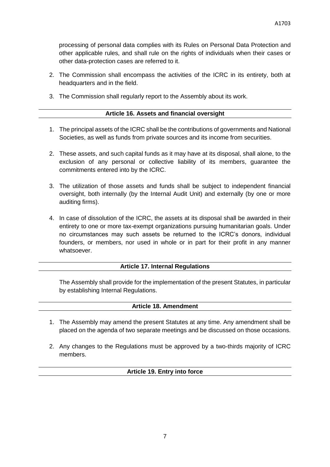processing of personal data complies with its Rules on Personal Data Protection and other applicable rules, and shall rule on the rights of individuals when their cases or other data-protection cases are referred to it.

- 2. The Commission shall encompass the activities of the ICRC in its entirety, both at headquarters and in the field.
- <span id="page-7-0"></span>3. The Commission shall regularly report to the Assembly about its work.

#### **Article 16. Assets and financial oversight**

- 1. The principal assets of the ICRC shall be the contributions of governments and National Societies, as well as funds from private sources and its income from securities.
- 2. These assets, and such capital funds as it may have at its disposal, shall alone, to the exclusion of any personal or collective liability of its members, guarantee the commitments entered into by the ICRC.
- 3. The utilization of those assets and funds shall be subject to independent financial oversight, both internally (by the Internal Audit Unit) and externally (by one or more auditing firms).
- 4. In case of dissolution of the ICRC, the assets at its disposal shall be awarded in their entirety to one or more tax-exempt organizations pursuing humanitarian goals. Under no circumstances may such assets be returned to the ICRC's donors, individual founders, or members, nor used in whole or in part for their profit in any manner whatsoever.

# **Article 17. Internal Regulations**

<span id="page-7-1"></span>The Assembly shall provide for the implementation of the present Statutes, in particular by establishing Internal Regulations.

#### **Article 18. Amendment**

- <span id="page-7-2"></span>1. The Assembly may amend the present Statutes at any time. Any amendment shall be placed on the agenda of two separate meetings and be discussed on those occasions.
- <span id="page-7-3"></span>2. Any changes to the Regulations must be approved by a two-thirds majority of ICRC members.

#### **Article 19. Entry into force**